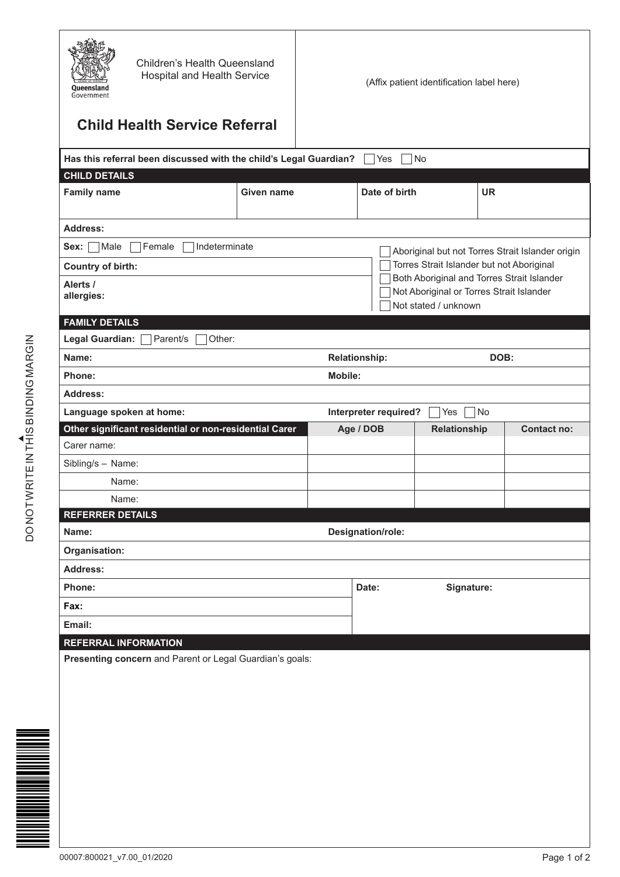| <b>Children's Health Queensland</b><br><b>Hospital and Health Service</b><br>Oueensland<br>Government |            |                              | (Affix patient identification label here)                                              |                                                  |
|-------------------------------------------------------------------------------------------------------|------------|------------------------------|----------------------------------------------------------------------------------------|--------------------------------------------------|
| <b>Child Health Service Referral</b>                                                                  |            |                              |                                                                                        |                                                  |
| Has this referral been discussed with the child's Legal Guardian?                                     |            | Yes                          | No                                                                                     |                                                  |
| <b>CHILD DETAILS</b>                                                                                  |            |                              |                                                                                        |                                                  |
| <b>Family name</b>                                                                                    | Given name | Date of birth                | UR.                                                                                    |                                                  |
| <b>Address:</b>                                                                                       |            |                              |                                                                                        |                                                  |
| Indeterminate<br>Male<br>Female<br>Sex:                                                               |            |                              |                                                                                        | Aboriginal but not Torres Strait Islander origin |
| Country of birth:                                                                                     |            |                              | Torres Strait Islander but not Aboriginal                                              |                                                  |
| Alerts /                                                                                              |            |                              | Both Aboriginal and Torres Strait Islander<br>Not Aboriginal or Torres Strait Islander |                                                  |
| allergies:                                                                                            |            |                              | Not stated / unknown                                                                   |                                                  |
| <b>FAMILY DETAILS</b>                                                                                 |            |                              |                                                                                        |                                                  |
| Legal Guardian:<br>Parent/s<br>Other:                                                                 |            |                              |                                                                                        |                                                  |
| Name:                                                                                                 |            | <b>Relationship:</b><br>DOB: |                                                                                        |                                                  |
| Phone:                                                                                                |            | <b>Mobile:</b>               |                                                                                        |                                                  |
| Address:                                                                                              |            |                              |                                                                                        |                                                  |
| Language spoken at home:                                                                              |            | Interpreter required?        | <b>No</b><br>Yes                                                                       |                                                  |
| Other significant residential or non-residential Carer                                                |            | Age / DOB                    | Relationship                                                                           | <b>Contact no:</b>                               |
| Carer name:                                                                                           |            |                              |                                                                                        |                                                  |
| Sibling/s - Name:                                                                                     |            |                              |                                                                                        |                                                  |
| Name:                                                                                                 |            |                              |                                                                                        |                                                  |
| Name:<br><b>REFERRER DETAILS</b>                                                                      |            |                              |                                                                                        |                                                  |
| Name:                                                                                                 |            | Designation/role:            |                                                                                        |                                                  |
| Organisation:                                                                                         |            |                              |                                                                                        |                                                  |
| Address:                                                                                              |            |                              |                                                                                        |                                                  |
| Phone:                                                                                                |            | Date:                        | Signature:                                                                             |                                                  |
| Fax:                                                                                                  |            |                              |                                                                                        |                                                  |
| Email:                                                                                                |            |                              |                                                                                        |                                                  |
| <b>REFERRAL INFORMATION</b>                                                                           |            |                              |                                                                                        |                                                  |
| Presenting concern and Parent or Legal Guardian's goals:                                              |            |                              |                                                                                        |                                                  |
|                                                                                                       |            |                              |                                                                                        |                                                  |
|                                                                                                       |            |                              |                                                                                        |                                                  |
|                                                                                                       |            |                              |                                                                                        |                                                  |
|                                                                                                       |            |                              |                                                                                        |                                                  |
|                                                                                                       |            |                              |                                                                                        |                                                  |